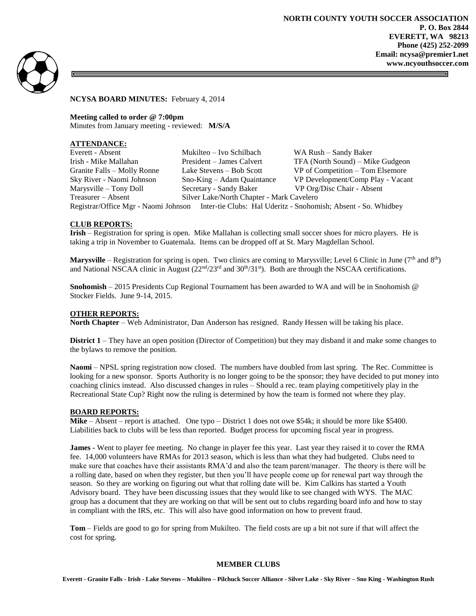

**NCYSA BOARD MINUTES:** February 4, 2014

**Meeting called to order @ 7:00pm** Minutes from January meeting - reviewed: **M/S/A**

# **ATTENDANCE:**

| Everett - Absent                                                                                    | Mukilteo – Ivo Schilbach                  | WA Rush - Sandy Baker             |
|-----------------------------------------------------------------------------------------------------|-------------------------------------------|-----------------------------------|
| Irish - Mike Mallahan                                                                               | President – James Calvert                 | TFA (North Sound) – Mike Gudgeon  |
| Granite Falls – Molly Ronne                                                                         | Lake Stevens – Bob Scott                  | VP of Competition – Tom Elsemore  |
| Sky River - Naomi Johnson                                                                           | $Sno-King - Adam\,$                       | VP Development/Comp Play - Vacant |
| Marysville – Tony Doll                                                                              | Secretary - Sandy Baker                   | VP Org/Disc Chair - Absent        |
| Treasurer – Absent                                                                                  | Silver Lake/North Chapter - Mark Cavelero |                                   |
| Registrar/Office Mgr - Naomi Johnson Inter-tie Clubs: Hal Uderitz - Snohomish; Absent - So. Whidbey |                                           |                                   |

### **CLUB REPORTS:**

**Irish** – Registration for spring is open. Mike Mallahan is collecting small soccer shoes for micro players. He is taking a trip in November to Guatemala. Items can be dropped off at St. Mary Magdellan School.

Marysville – Registration for spring is open. Two clinics are coming to Marysville; Level 6 Clinic in June (7<sup>th</sup> and 8<sup>th</sup>) and National NSCAA clinic in August  $(22<sup>nd</sup>/23<sup>rd</sup>$  and  $30<sup>th</sup>/31<sup>st</sup>$ ). Both are through the NSCAA certifications.

**Snohomish** – 2015 Presidents Cup Regional Tournament has been awarded to WA and will be in Snohomish @ Stocker Fields. June 9-14, 2015.

#### **OTHER REPORTS:**

**North Chapter** – Web Administrator, Dan Anderson has resigned. Randy Hessen will be taking his place.

**District 1** – They have an open position (Director of Competition) but they may disband it and make some changes to the bylaws to remove the position.

**Naomi** – NPSL spring registration now closed. The numbers have doubled from last spring. The Rec. Committee is looking for a new sponsor. Sports Authority is no longer going to be the sponsor; they have decided to put money into coaching clinics instead. Also discussed changes in rules – Should a rec. team playing competitively play in the Recreational State Cup? Right now the ruling is determined by how the team is formed not where they play.

#### **BOARD REPORTS:**

**Mike** – Absent – report is attached. One typo – District 1 does not owe \$54k; it should be more like \$5400. Liabilities back to clubs will be less than reported. Budget process for upcoming fiscal year in progress.

**James -** Went to player fee meeting. No change in player fee this year. Last year they raised it to cover the RMA fee. 14,000 volunteers have RMAs for 2013 season, which is less than what they had budgeted. Clubs need to make sure that coaches have their assistants RMA'd and also the team parent/manager. The theory is there will be a rolling date, based on when they register, but then you'll have people come up for renewal part way through the season. So they are working on figuring out what that rolling date will be. Kim Calkins has started a Youth Advisory board. They have been discussing issues that they would like to see changed with WYS. The MAC group has a document that they are working on that will be sent out to clubs regarding board info and how to stay in compliant with the IRS, etc. This will also have good information on how to prevent fraud.

**Tom** – Fields are good to go for spring from Mukilteo. The field costs are up a bit not sure if that will affect the cost for spring.

#### **MEMBER CLUBS**

**Everett - Granite Falls - Irish - Lake Stevens – Mukilteo – Pilchuck Soccer Alliance - Silver Lake - Sky River – Sno King - Washington Rush**